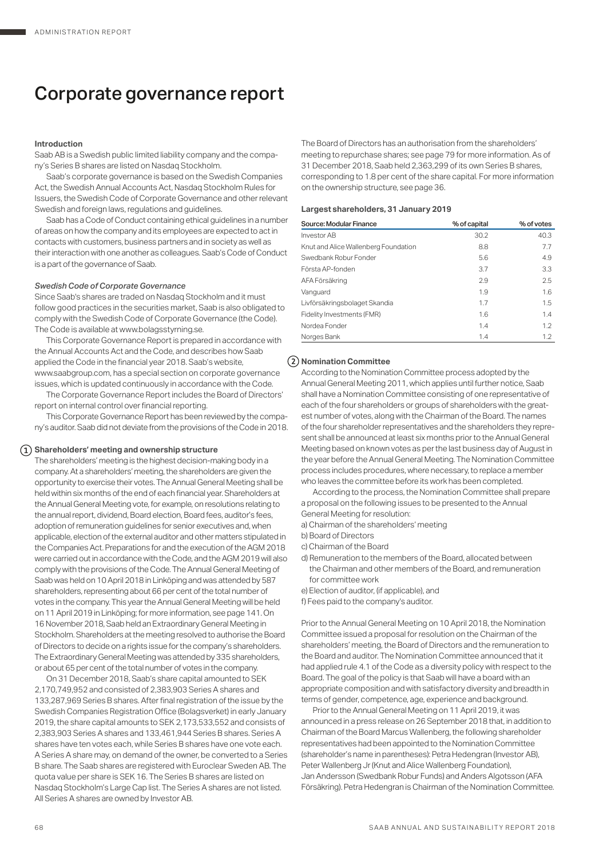# Corporate governance report

## **Introduction**

Saab AB is a Swedish public limited liability company and the company's Series B shares are listed on Nasdaq Stockholm.

Saab's corporate governance is based on the Swedish Companies Act, the Swedish Annual Accounts Act, Nasdaq Stockholm Rules for Issuers, the Swedish Code of Corporate Governance and other relevant Swedish and foreign laws, regulations and guidelines.

Saab has a Code of Conduct containing ethical guidelines in a number of areas on how the company and its employees are expected to act in contacts with customers, business partners and in society as well as their interaction with one another as colleagues. Saab's Code of Conduct is a part of the governance of Saab.

### *Swedish Code of Corporate Governance*

Since Saab's shares are traded on Nasdaq Stockholm and it must follow good practices in the securities market, Saab is also obligated to comply with the Swedish Code of Corporate Governance (the Code). The Code is available at www.bolagsstyrning.se.

This Corporate Governance Report is prepared in accordance with the Annual Accounts Act and the Code, and describes how Saab applied the Code in the financial year 2018. Saab's website, www.saabgroup.com, has a special section on corporate governance issues, which is updated continuously in accordance with the Code.

The Corporate Governance Report includes the Board of Directors' report on internal control over financial reporting.

This Corporate Governance Report has been reviewed by the company's auditor. Saab did not deviate from the provisions of the Code in 2018.

## **Shareholders' meeting and ownership structure**

The shareholders' meeting is the highest decision-making body in a company. At a shareholders' meeting, the shareholders are given the opportunity to exercise their votes. The Annual General Meeting shall be held within six months of the end of each financial year. Shareholders at the Annual General Meeting vote, for example, on resolutions relating to the annual report, dividend, Board election, Board fees, auditor's fees, adoption of remuneration guidelines for senior executives and, when applicable, election of the external auditor and other matters stipulated in the Companies Act. Preparations for and the execution of the AGM 2018 were carried out in accordance with the Code, and the AGM 2019 will also comply with the provisions of the Code. The Annual General Meeting of Saab was held on 10 April 2018 in Linköping and was attended by 587 shareholders, representing about 66 per cent of the total number of votes in the company. This year the Annual General Meeting will be held on 11 April 2019 in Linköping; for more information, see page 141. On 16 November 2018, Saab held an Extraordinary General Meeting in Stockholm. Shareholders at the meeting resolved to authorise the Board of Directors to decide on a rights issue for the company's shareholders. The Extraordinary General Meeting was attended by 335 shareholders, or about 65 per cent of the total number of votes in the company.

On 31 December 2018, Saab's share capital amounted to SEK 2,170,749,952 and consisted of 2,383,903 Series A shares and 133,287,969 Series B shares. After final registration of the issue by the Swedish Companies Registration Office (Bolagsverket) in early January 2019, the share capital amounts to SEK 2,173,533,552 and consists of 2,383,903 Series A shares and 133,461,944 Series B shares. Series A shares have ten votes each, while Series B shares have one vote each. A Series A share may, on demand of the owner, be converted to a Series B share. The Saab shares are registered with Euroclear Sweden AB. The quota value per share is SEK 16. The Series B shares are listed on Nasdaq Stockholm's Large Cap list. The Series A shares are not listed. All Series A shares are owned by Investor AB.

The Board of Directors has an authorisation from the shareholders' meeting to repurchase shares; see page 79 for more information. As of 31 December 2018, Saab held 2,363,299 of its own Series B shares, corresponding to 1.8 per cent of the share capital. For more information on the ownership structure, see page 36.

#### **Largest shareholders, 31 January 2019**

| Source: Modular Finance              | % of capital | % of votes |
|--------------------------------------|--------------|------------|
| <b>Investor AB</b>                   | 30.2         | 40.3       |
| Knut and Alice Wallenberg Foundation | 8.8          | 7.7        |
| Swedbank Robur Fonder                | 5.6          | 4.9        |
| Första AP-fonden                     | 3.7          | 3.3        |
| AFA Försäkring                       | 2.9          | 2.5        |
| Vanguard                             | 1.9          | 1.6        |
| Livförsäkringsbolaget Skandia        | 1.7          | 1.5        |
| Fidelity Investments (FMR)           | 1.6          | 1.4        |
| Nordea Fonder                        | 1.4          | 1.2        |
| Norges Bank                          | 1.4          | 1.2        |

## **Nomination Committee**

According to the Nomination Committee process adopted by the Annual General Meeting 2011, which applies until further notice, Saab shall have a Nomination Committee consisting of one representative of each of the four shareholders or groups of shareholders with the greatest number of votes, along with the Chairman of the Board. The names of the four shareholder representatives and the shareholders they represent shall be announced at least six months prior to the Annual General Meeting based on known votes as per the last business day of August in the year before the Annual General Meeting. The Nomination Committee process includes procedures, where necessary, to replace a member who leaves the committee before its work has been completed.

According to the process, the Nomination Committee shall prepare a proposal on the following issues to be presented to the Annual General Meeting for resolution:

- a) Chairman of the shareholders' meeting
- b) Board of Directors
- c) Chairman of the Board

d) Remuneration to the members of the Board, allocated between the Chairman and other members of the Board, and remuneration for committee work

- e) Election of auditor, (if applicable), and
- f) Fees paid to the company's auditor.

Prior to the Annual General Meeting on 10 April 2018, the Nomination Committee issued a proposal for resolution on the Chairman of the shareholders' meeting, the Board of Directors and the remuneration to the Board and auditor. The Nomination Committee announced that it had applied rule 4.1 of the Code as a diversity policy with respect to the Board. The goal of the policy is that Saab will have a board with an appropriate composition and with satisfactory diversity and breadth in terms of gender, competence, age, experience and background.

Prior to the Annual General Meeting on 11 April 2019, it was announced in a press release on 26 September 2018 that, in addition to Chairman of the Board Marcus Wallenberg, the following shareholder representatives had been appointed to the Nomination Committee (shareholder's name in parentheses): Petra Hedengran (Investor AB), Peter Wallenberg Jr (Knut and Alice Wallenberg Foundation), Jan Andersson (Swedbank Robur Funds) and Anders Algotsson (AFA Försäkring). Petra Hedengran is Chairman of the Nomination Committee.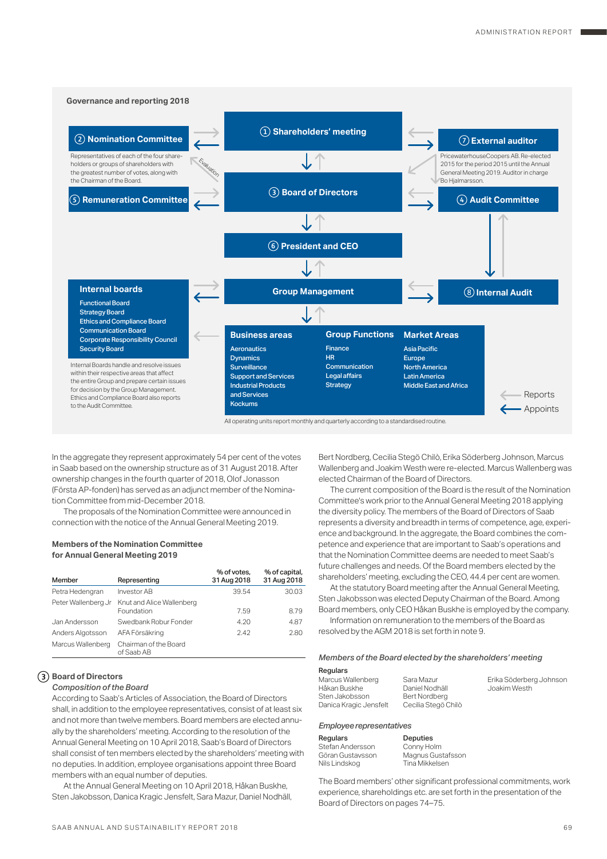

In the aggregate they represent approximately 54 per cent of the votes in Saab based on the ownership structure as of 31 August 2018. After ownership changes in the fourth quarter of 2018, Olof Jonasson (Första AP-fonden) has served as an adjunct member of the Nomination Committee from mid-December 2018.

The proposals of the Nomination Committee were announced in connection with the notice of the Annual General Meeting 2019.

## **Members of the Nomination Committee for Annual General Meeting 2019**

| Member              | Representing                            | % of votes.<br>31 Aug 2018 | % of capital,<br>31 Aug 2018 |
|---------------------|-----------------------------------------|----------------------------|------------------------------|
| Petra Hedengran     | <b>Investor AB</b>                      | 39.54                      | 30.03                        |
| Peter Wallenberg Jr | Knut and Alice Wallenberg<br>Foundation | 7.59                       | 8.79                         |
| Jan Andersson       | Swedbank Robur Fonder                   | 4.20                       | 4.87                         |
| Anders Algotsson    | AFA Försäkring                          | 2.42                       | 2.80                         |
| Marcus Wallenberg   | Chairman of the Board<br>of Saab AB     |                            |                              |

## **Board of Directors**

## *Composition of the Board*

According to Saab's Articles of Association, the Board of Directors shall, in addition to the employee representatives, consist of at least six and not more than twelve members. Board members are elected annually by the shareholders' meeting. According to the resolution of the Annual General Meeting on 10 April 2018, Saab's Board of Directors shall consist of ten members elected by the shareholders' meeting with no deputies. In addition, employee organisations appoint three Board members with an equal number of deputies.

At the Annual General Meeting on 10 April 2018, Håkan Buskhe, Sten Jakobsson, Danica Kragic Jensfelt, Sara Mazur, Daniel Nodhäll, Bert Nordberg, Cecilia Stegö Chilò, Erika Söderberg Johnson, Marcus Wallenberg and Joakim Westh were re-elected. Marcus Wallenberg was elected Chairman of the Board of Directors.

The current composition of the Board is the result of the Nomination Committee's work prior to the Annual General Meeting 2018 applying the diversity policy. The members of the Board of Directors of Saab represents a diversity and breadth in terms of competence, age, experience and background. In the aggregate, the Board combines the competence and experience that are important to Saab's operations and that the Nomination Committee deems are needed to meet Saab's future challenges and needs. Of the Board members elected by the shareholders' meeting, excluding the CEO, 44.4 per cent are women.

At the statutory Board meeting after the Annual General Meeting, Sten Jakobsson was elected Deputy Chairman of the Board. Among Board members, only CEO Håkan Buskhe is employed by the company.

Information on remuneration to the members of the Board as resolved by the AGM 2018 is set forth in note 9.

#### *Members of the Board elected by the shareholders' meeting*

## Regulars

Marcus Wallenberg Håkan Buskhe Sten Jakobsson Danica Kragic Jensfelt Sara Mazur Daniel Nodhäll Bert Nordberg Cecilia Stegö Chilò Erika Söderberg Johnson Joakim Westh

#### *Employee representatives*

| Regulars         |  |
|------------------|--|
| Stefan Andersson |  |
| Göran Gustavsson |  |
| Nils Lindskog    |  |
|                  |  |

Deputies Conny Holm Magnus Gustafsson Tina Mikkelsen

The Board members' other significant professional commitments, work experience, shareholdings etc. are set forth in the presentation of the Board of Directors on pages 74–75.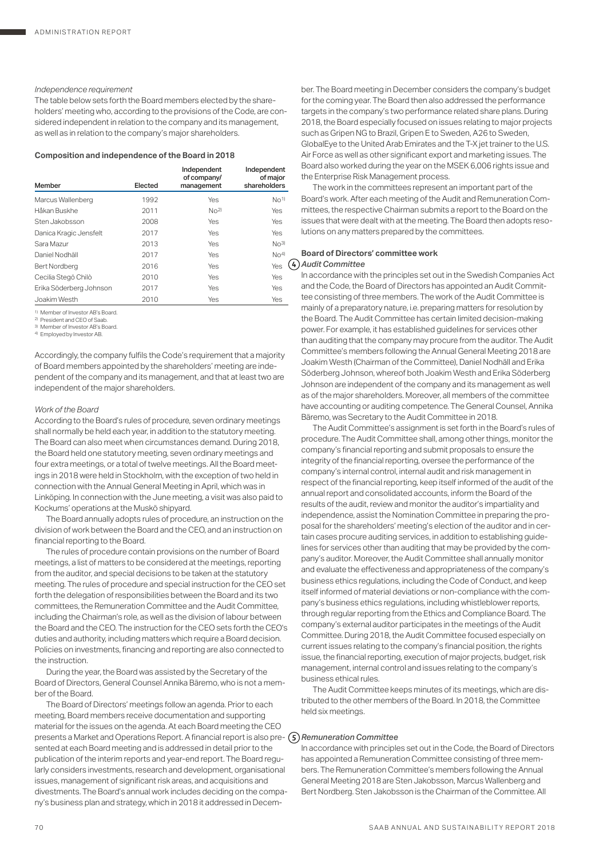## *Independence requirement*

The table below sets forth the Board members elected by the shareholders' meeting who, according to the provisions of the Code, are considered independent in relation to the company and its management, as well as in relation to the company's major shareholders.

## **Composition and independence of the Board in 2018**

|                         |         | Independent<br>of company/ | Independent<br>of major |
|-------------------------|---------|----------------------------|-------------------------|
| Member                  | Elected | management                 | shareholders            |
| Marcus Wallenberg       | 1992    | Yes                        | $N0$ <sup>1)</sup>      |
| Håkan Buskhe            | 2011    | N <sup>2</sup>             | Yes                     |
| Sten Jakobsson          | 2008    | Yes                        | Yes                     |
| Danica Kragic Jensfelt  | 2017    | Yes                        | Yes                     |
| Sara Mazur              | 2013    | Yes                        | $N0$ 3)                 |
| Daniel Nodhäll          | 2017    | Yes                        | No <sup>4</sup>         |
| <b>Bert Nordberg</b>    | 2016    | Yes                        | Yes                     |
| Cecilia Stegö Chilò     | 2010    | Yes                        | Yes                     |
| Erika Söderberg Johnson | 2017    | Yes                        | Yes                     |
| Joakim Westh            | 2010    | Yes                        | Yes                     |

1) Member of Investor AB's Board.

2) President and CEO of Saab. 1 resident and 020 or 0446.

4) Employed by Investor AB.

Accordingly, the company fulfils the Code's requirement that a majority of Board members appointed by the shareholders' meeting are independent of the company and its management, and that at least two are independent of the major shareholders.

## *Work of the Board*

According to the Board's rules of procedure, seven ordinary meetings shall normally be held each year, in addition to the statutory meeting. The Board can also meet when circumstances demand. During 2018, the Board held one statutory meeting, seven ordinary meetings and four extra meetings, or a total of twelve meetings. All the Board meetings in 2018 were held in Stockholm, with the exception of two held in connection with the Annual General Meeting in April, which was in Linköping. In connection with the June meeting, a visit was also paid to Kockums' operations at the Muskö shipyard.

The Board annually adopts rules of procedure, an instruction on the division of work between the Board and the CEO, and an instruction on financial reporting to the Board.

The rules of procedure contain provisions on the number of Board meetings, a list of matters to be considered at the meetings, reporting from the auditor, and special decisions to be taken at the statutory meeting. The rules of procedure and special instruction for the CEO set forth the delegation of responsibilities between the Board and its two committees, the Remuneration Committee and the Audit Committee, including the Chairman's role, as well as the division of labour between the Board and the CEO. The instruction for the CEO sets forth the CEO's duties and authority, including matters which require a Board decision. Policies on investments, financing and reporting are also connected to the instruction.

During the year, the Board was assisted by the Secretary of the Board of Directors, General Counsel Annika Bäremo, who is not a member of the Board.

The Board of Directors' meetings follow an agenda. Prior to each meeting, Board members receive documentation and supporting material for the issues on the agenda. At each Board meeting the CEO presents a Market and Operations Report. A financial report is also pre-*Remuneration Committee* sented at each Board meeting and is addressed in detail prior to the publication of the interim reports and year-end report. The Board regularly considers investments, research and development, organisational issues, management of significant risk areas, and acquisitions and divestments. The Board's annual work includes deciding on the company's business plan and strategy, which in 2018 it addressed in Decem-

ber. The Board meeting in December considers the company's budget for the coming year. The Board then also addressed the performance targets in the company's two performance related share plans. During 2018, the Board especially focused on issues relating to major projects such as Gripen NG to Brazil, Gripen E to Sweden, A26 to Sweden, GlobalEye to the United Arab Emirates and the T-X jet trainer to the U.S. Air Force as well as other significant export and marketing issues. The Board also worked during the year on the MSEK 6,006 rights issue and the Enterprise Risk Management process.

The work in the committees represent an important part of the Board's work. After each meeting of the Audit and Remuneration Committees, the respective Chairman submits a report to the Board on the issues that were dealt with at the meeting. The Board then adopts resolutions on any matters prepared by the committees.

## **Board of Directors' committee work** *Audit Committee*

In accordance with the principles set out in the Swedish Companies Act and the Code, the Board of Directors has appointed an Audit Committee consisting of three members. The work of the Audit Committee is mainly of a preparatory nature, i.e. preparing matters for resolution by the Board. The Audit Committee has certain limited decision-making power. For example, it has established guidelines for services other than auditing that the company may procure from the auditor. The Audit Committee's members following the Annual General Meeting 2018 are Joakim Westh (Chairman of the Committee), Daniel Nodhäll and Erika Söderberg Johnson, whereof both Joakim Westh and Erika Söderberg Johnson are independent of the company and its management as well as of the major shareholders. Moreover, all members of the committee have accounting or auditing competence. The General Counsel, Annika Bäremo, was Secretary to the Audit Committee in 2018.

The Audit Committee's assignment is set forth in the Board's rules of procedure. The Audit Committee shall, among other things, monitor the company's financial reporting and submit proposals to ensure the integrity of the financial reporting, oversee the performance of the company's internal control, internal audit and risk management in respect of the financial reporting, keep itself informed of the audit of the annual report and consolidated accounts, inform the Board of the results of the audit, review and monitor the auditor's impartiality and independence, assist the Nomination Committee in preparing the proposal for the shareholders' meeting's election of the auditor and in certain cases procure auditing services, in addition to establishing guidelines for services other than auditing that may be provided by the company's auditor. Moreover, the Audit Committee shall annually monitor and evaluate the effectiveness and appropriateness of the company's business ethics regulations, including the Code of Conduct, and keep itself informed of material deviations or non-compliance with the company's business ethics regulations, including whistleblower reports, through regular reporting from the Ethics and Compliance Board. The company's external auditor participates in the meetings of the Audit Committee. During 2018, the Audit Committee focused especially on current issues relating to the company's financial position, the rights issue, the financial reporting, execution of major projects, budget, risk management, internal control and issues relating to the company's business ethical rules.

The Audit Committee keeps minutes of its meetings, which are distributed to the other members of the Board. In 2018, the Committee held six meetings.

In accordance with principles set out in the Code, the Board of Directors has appointed a Remuneration Committee consisting of three members. The Remuneration Committee's members following the Annual General Meeting 2018 are Sten Jakobsson, Marcus Wallenberg and Bert Nordberg. Sten Jakobsson is the Chairman of the Committee. All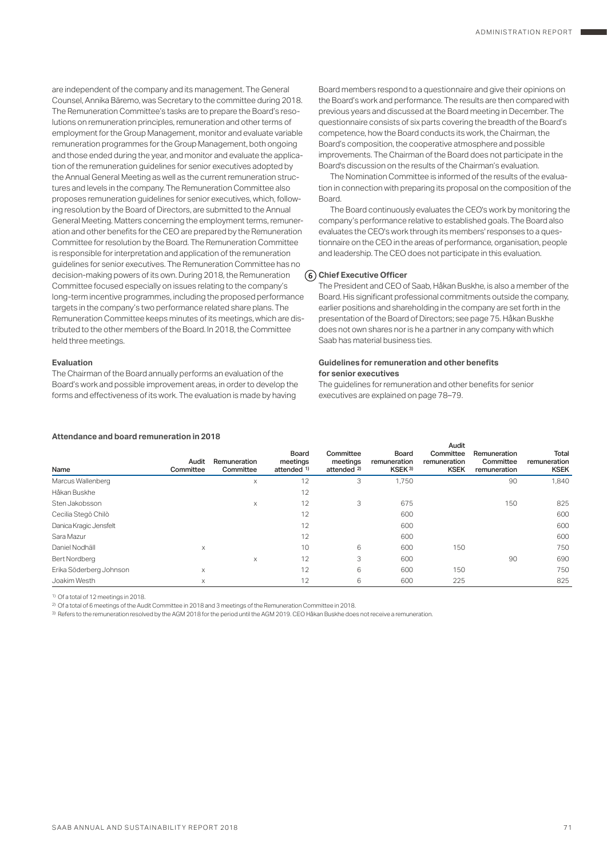are independent of the company and its management. The General Counsel, Annika Bäremo, was Secretary to the committee during 2018. The Remuneration Committee's tasks are to prepare the Board's resolutions on remuneration principles, remuneration and other terms of employment for the Group Management, monitor and evaluate variable remuneration programmes for the Group Management, both ongoing and those ended during the year, and monitor and evaluate the application of the remuneration guidelines for senior executives adopted by the Annual General Meeting as well as the current remuneration structures and levels in the company. The Remuneration Committee also proposes remuneration guidelines for senior executives, which, following resolution by the Board of Directors, are submitted to the Annual General Meeting. Matters concerning the employment terms, remuneration and other benefits for the CEO are prepared by the Remuneration Committee for resolution by the Board. The Remuneration Committee is responsible for interpretation and application of the remuneration guidelines for senior executives. The Remuneration Committee has no decision-making powers of its own. During 2018, the Remuneration Committee focused especially on issues relating to the company's long-term incentive programmes, including the proposed performance targets in the company's two performance related share plans. The Remuneration Committee keeps minutes of its meetings, which are distributed to the other members of the Board. In 2018, the Committee held three meetings.

#### **Evaluation**

The Chairman of the Board annually performs an evaluation of the Board's work and possible improvement areas, in order to develop the forms and effectiveness of its work. The evaluation is made by having

Board members respond to a questionnaire and give their opinions on the Board's work and performance. The results are then compared with previous years and discussed at the Board meeting in December. The questionnaire consists of six parts covering the breadth of the Board's competence, how the Board conducts its work, the Chairman, the Board's composition, the cooperative atmosphere and possible improvements. The Chairman of the Board does not participate in the Board's discussion on the results of the Chairman's evaluation.

The Nomination Committee is informed of the results of the evaluation in connection with preparing its proposal on the composition of the **Board** 

The Board continuously evaluates the CEO's work by monitoring the company's performance relative to established goals. The Board also evaluates the CEO's work through its members' responses to a questionnaire on the CEO in the areas of performance, organisation, people and leadership. The CEO does not participate in this evaluation.

## **Chief Executive Officer**

The President and CEO of Saab, Håkan Buskhe, is also a member of the Board. His significant professional commitments outside the company, earlier positions and shareholding in the company are set forth in the presentation of the Board of Directors; see page 75. Håkan Buskhe does not own shares nor is he a partner in any company with which Saab has material business ties.

#### **Guidelines for remuneration and other benefits for senior executives**

The guidelines for remuneration and other benefits for senior executives are explained on page 78–79.

|                         |                    |                           |                                             |                                                 |                                             | Audit                                    |                                           |                                      |
|-------------------------|--------------------|---------------------------|---------------------------------------------|-------------------------------------------------|---------------------------------------------|------------------------------------------|-------------------------------------------|--------------------------------------|
| Name                    | Audit<br>Committee | Remuneration<br>Committee | Board<br>meetings<br>attended <sup>1)</sup> | Committee<br>meetings<br>attended <sup>2)</sup> | Board<br>remuneration<br>KSEK <sup>3)</sup> | Committee<br>remuneration<br><b>KSEK</b> | Remuneration<br>Committee<br>remuneration | Total<br>remuneration<br><b>KSEK</b> |
| Marcus Wallenberg       |                    | X                         | 12                                          | 3                                               | 1,750                                       |                                          | 90                                        | 1,840                                |
| Håkan Buskhe            |                    |                           | 12                                          |                                                 |                                             |                                          |                                           |                                      |
| Sten Jakobsson          |                    | $\times$                  | 12                                          | 3                                               | 675                                         |                                          | 150                                       | 825                                  |
| Cecilia Stegö Chilò     |                    |                           | 12                                          |                                                 | 600                                         |                                          |                                           | 600                                  |
| Danica Kragic Jensfelt  |                    |                           | 12                                          |                                                 | 600                                         |                                          |                                           | 600                                  |
| Sara Mazur              |                    |                           | 12                                          |                                                 | 600                                         |                                          |                                           | 600                                  |
| Daniel Nodhäll          | X                  |                           | 10                                          | 6                                               | 600                                         | 150                                      |                                           | 750                                  |
| Bert Nordberg           |                    | $\times$                  | 12                                          | 3                                               | 600                                         |                                          | 90                                        | 690                                  |
| Erika Söderberg Johnson | X                  |                           | 12                                          | 6                                               | 600                                         | 150                                      |                                           | 750                                  |
| Joakim Westh            | X                  |                           | 12                                          | 6                                               | 600                                         | 225                                      |                                           | 825                                  |

#### **Attendance and board remuneration in 2018**

1) Of a total of 12 meetings in 2018.

2) Of a total of 6 meetings of the Audit Committee in 2018 and 3 meetings of the Remuneration Committee in 2018.

3) Refers to the remuneration resolved by the AGM 2018 for the period until the AGM 2019. CEO Håkan Buskhe does not receive a remuneration.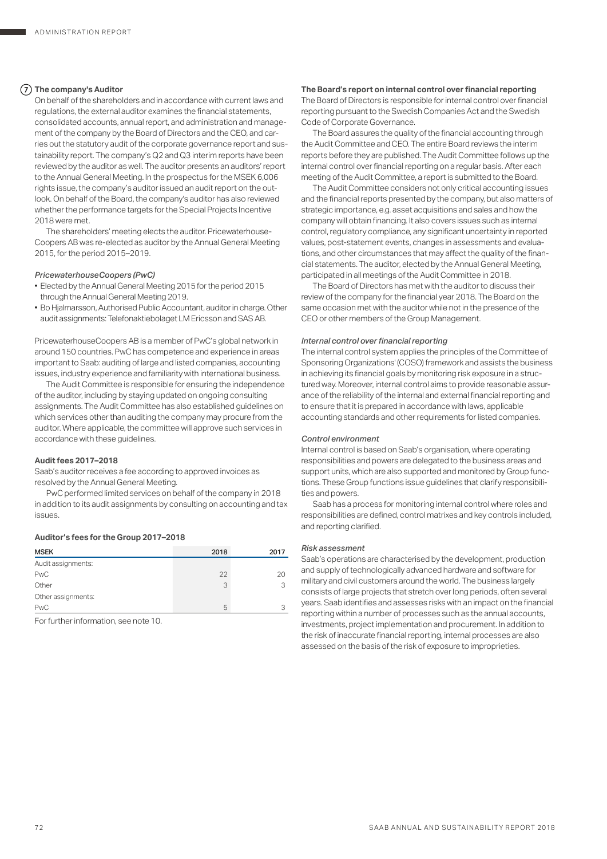## **The company's Auditor**

On behalf of the shareholders and in accordance with current laws and regulations, the external auditor examines the financial statements, consolidated accounts, annual report, and administration and management of the company by the Board of Directors and the CEO, and carries out the statutory audit of the corporate governance report and sustainability report. The company's Q2 and Q3 interim reports have been reviewed by the auditor as well. The auditor presents an auditors' report to the Annual General Meeting. In the prospectus for the MSEK 6,006 rights issue, the company's auditor issued an audit report on the outlook. On behalf of the Board, the company's auditor has also reviewed whether the performance targets for the Special Projects Incentive 2018 were met.

The shareholders' meeting elects the auditor. Pricewaterhouse-Coopers AB was re-elected as auditor by the Annual General Meeting 2015, for the period 2015–2019.

## *PricewaterhouseCoopers (PwC)*

- Elected by the Annual General Meeting 2015 for the period 2015 through the Annual General Meeting 2019.
- Bo Hjalmarsson, Authorised Public Accountant, auditor in charge. Other audit assignments: Telefonaktiebolaget LM Ericsson and SAS AB.

PricewaterhouseCoopers AB is a member of PwC's global network in around 150 countries. PwC has competence and experience in areas important to Saab: auditing of large and listed companies, accounting issues, industry experience and familiarity with international business.

The Audit Committee is responsible for ensuring the independence of the auditor, including by staying updated on ongoing consulting assignments. The Audit Committee has also established guidelines on which services other than auditing the company may procure from the auditor. Where applicable, the committee will approve such services in accordance with these guidelines.

## **Audit fees 2017–2018**

Saab's auditor receives a fee according to approved invoices as resolved by the Annual General Meeting.

PwC performed limited services on behalf of the company in 2018 in addition to its audit assignments by consulting on accounting and tax issues.

## **Auditor's fees for the Group 2017–2018**

| <b>MSEK</b>        | 2018 | 2017 |
|--------------------|------|------|
| Audit assignments: |      |      |
| <b>PwC</b>         | 22   | 20   |
| Other              | 3    |      |
| Other assignments: |      |      |
| PwC                | 5    |      |

For further information, see note 10.

#### **The Board's report on internal control over financial reporting**

The Board of Directors is responsible for internal control over financial reporting pursuant to the Swedish Companies Act and the Swedish Code of Corporate Governance.

The Board assures the quality of the financial accounting through the Audit Committee and CEO. The entire Board reviews the interim reports before they are published. The Audit Committee follows up the internal control over financial reporting on a regular basis. After each meeting of the Audit Committee, a report is submitted to the Board.

The Audit Committee considers not only critical accounting issues and the financial reports presented by the company, but also matters of strategic importance, e.g. asset acquisitions and sales and how the company will obtain financing. It also covers issues such as internal control, regulatory compliance, any significant uncertainty in reported values, post-statement events, changes in assessments and evaluations, and other circumstances that may affect the quality of the financial statements. The auditor, elected by the Annual General Meeting, participated in all meetings of the Audit Committee in 2018.

The Board of Directors has met with the auditor to discuss their review of the company for the financial year 2018. The Board on the same occasion met with the auditor while not in the presence of the CEO or other members of the Group Management.

## *Internal control over financial reporting*

The internal control system applies the principles of the Committee of Sponsoring Organizations' (COSO) framework and assists the business in achieving its financial goals by monitoring risk exposure in a structured way. Moreover, internal control aims to provide reasonable assurance of the reliability of the internal and external financial reporting and to ensure that it is prepared in accordance with laws, applicable accounting standards and other requirements for listed companies.

## *Control environment*

Internal control is based on Saab's organisation, where operating responsibilities and powers are delegated to the business areas and support units, which are also supported and monitored by Group functions. These Group functions issue guidelines that clarify responsibilities and powers.

Saab has a process for monitoring internal control where roles and responsibilities are defined, control matrixes and key controls included, and reporting clarified.

#### *Risk assessment*

Saab's operations are characterised by the development, production and supply of technologically advanced hardware and software for military and civil customers around the world. The business largely consists of large projects that stretch over long periods, often several years. Saab identifies and assesses risks with an impact on the financial reporting within a number of processes such as the annual accounts, investments, project implementation and procurement. In addition to the risk of inaccurate financial reporting, internal processes are also assessed on the basis of the risk of exposure to improprieties.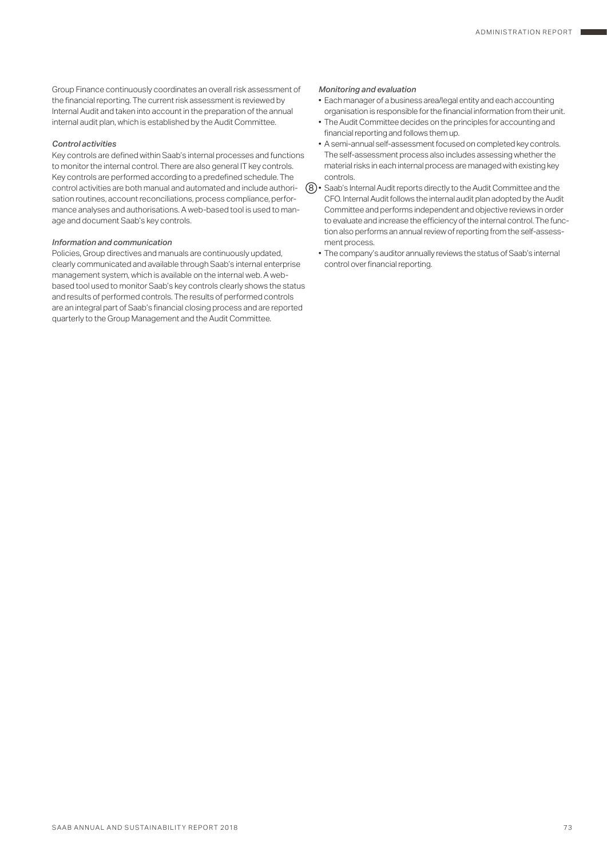Group Finance continuously coordinates an overall risk assessment of the financial reporting. The current risk assessment is reviewed by Internal Audit and taken into account in the preparation of the annual internal audit plan, which is established by the Audit Committee.

## *Control activities*

Key controls are defined within Saab's internal processes and functions to monitor the internal control. There are also general IT key controls. Key controls are performed according to a predefined schedule. The control activities are both manual and automated and include authorisation routines, account reconciliations, process compliance, performance analyses and authorisations. A web-based tool is used to manage and document Saab's key controls.

#### *Information and communication*

Policies, Group directives and manuals are continuously updated, clearly communicated and available through Saab's internal enterprise management system, which is available on the internal web. A webbased tool used to monitor Saab's key controls clearly shows the status and results of performed controls. The results of performed controls are an integral part of Saab's financial closing process and are reported quarterly to the Group Management and the Audit Committee.

## *Monitoring and evaluation*

- Each manager of a business area/legal entity and each accounting organisation is responsible for the financial information from their unit.
- The Audit Committee decides on the principles for accounting and financial reporting and follows them up.
- A semi-annual self-assessment focused on completed key controls. The self-assessment process also includes assessing whether the material risks in each internal process are managed with existing key controls.
- Saab's Internal Audit reports directly to the Audit Committee and the 8 CFO. Internal Audit follows the internal audit plan adopted by the Audit Committee and performs independent and objective reviews in order to evaluate and increase the efficiency of the internal control. The function also performs an annual review of reporting from the self-assessment process.
	- The company's auditor annually reviews the status of Saab's internal control over financial reporting.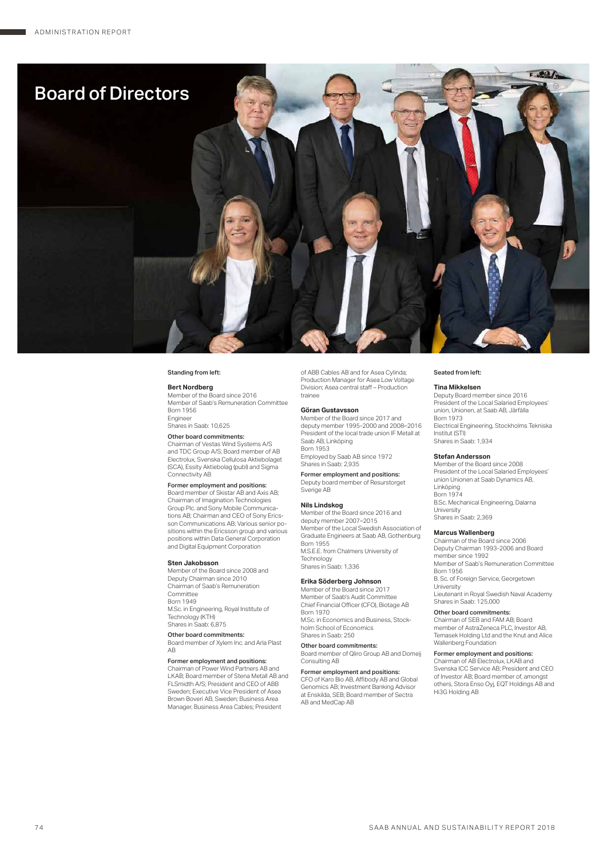٠



#### Standing from left:

#### **Bert Nordberg**

Member of the Board since 2016 Member of Saab's Remuneration Committee Born 1956 Engineer Shares in Saab: 10,625

Other board commitments:

Chairman of Vestas Wind Systems A/S and TDC Group A/S; Board member of AB Electrolux, Svenska Cellulosa Aktiebolaget (SCA), Essity Aktiebolag (publ) and Sigma Connectivity AB

Former employment and positions:

Board member of Skistar AB and Axis AB; Chairman of Imagination Technologies Group Plc. and Sony Mobile Communications AB; Chairman and CEO of Sony Ericsson Communications AB; Various senior positions within the Ericsson group and various positions within Data General Corporation and Digital Equipment Corporation

#### **Sten Jakobsson**

Member of the Board since 2008 and Deputy Chairman since 2010 Chairman of Saab's Remuneration Committee Born 1949 M.Sc. in Engineering, Royal Institute of Technology (KTH) Shares in Saab: 6,875

Other board commitments:

Board member of Xylem Inc. and Arla Plast AB

Former employment and positions:

Chairman of Power Wind Partners AB and LKAB; Board member of Stena Metall AB and FLSmidth A/S; President and CEO of ABB<br>Sweden: Executive Vice President of Asea Sweden; Executive Vice President of Asea Brown Boveri AB, Sweden; Business Area Manager, Business Area Cables; President

of ABB Cables AB and for Asea Cylinda; Production Manager for Asea Low Voltage Division; Asea central staff – Production trainee

#### **Göran Gustavsson**

Member of the Board since 2017 and deputy member 1995-2000 and 2008–2016 President of the local trade union IF Metall at Saab AB, Linköping Born 1953 Employed by Saab AB since 1972

Shares in Saab: 2,935 Former employment and positions:

Deputy board member of Resurstorget Sverige AB

**Nils Lindskog** Member of the Board since 2016 and deputy member 2007–2015 Member of the Local Swedish Association of Graduate Engineers at Saab AB, Gothenburg Born 1955 M.S.E.E. from Chalmers University of Technology Shares in Saab: 1,336

### **Erika Söderberg Johnson**

Member of the Board since 2017 Member of Saab's Audit Committee Chief Financial Officer (CFO), Biotage AB Born 1970 M.Sc. in Economics and Business, Stock-

holm School of Economics Shares in Saab: 250

Other board commitments: Board member of Qliro Group AB and Domeij Consulting AB

**Former employment and positions:**<br>CFO of Karo Bio AB, Affibody AB and Global Genomics AB; Investment Banking Advisor at Enskilda, SEB; Board member of Sectra AB and MedCap AB

#### Seated from left:

**Tina Mikkelsen** Deputy Board member since 2016 President of the Local Salaried Employees' union, Unionen, at Saab AB, Järfälla Born 1973

Electrical Engineering, Stockholms Tekniska Institut (STI) Shares in Saab: 1,934

#### **Stefan Andersson**

Member of the Board since 2008 President of the Local Salaried Employees' union Unionen at Saab Dynamics AB, Linköping Born 1974 B.Sc. Mechanical Engineering, Dalarna University Shares in Saab: 2,369

#### **Marcus Wallenberg**

Chairman of the Board since 2006 Deputy Chairman 1993-2006 and Board member since 1992 Member of Saab's Remuneration Committee Born 1956 B. Sc. of Foreign Service, Georgetown University Lieutenant in Royal Swedish Naval Academy

Shares in Saab: 125,000 Other board commitments:

Chairman of SEB and FAM AB; Board member of AstraZeneca PLC, Investor AB, Temasek Holding Ltd and the Knut and Alice Wallenberg Foundation

#### Former employment and positions:

Chairman of AB Electrolux, LKAB and Svenska ICC Service AB; President and CEO of Investor AB; Board member of, amongst others, Stora Enso Oyj, EQT Holdings AB and Hi3G Holding AB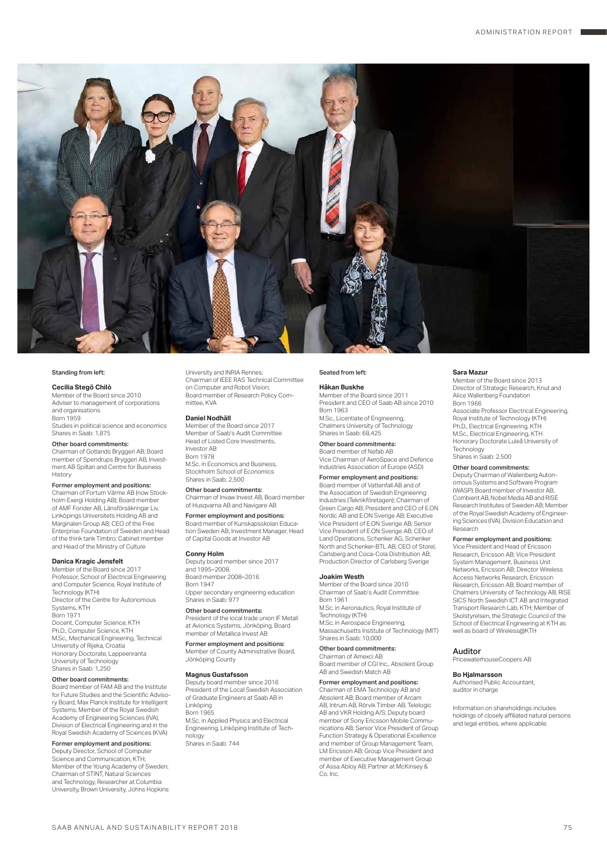

#### Standing from left:

## **Cecilia Stegö Chilò**

Member of the Board since 2010 Adviser to management of corporations and organisations Born 1959 Studies in political science and economics Shares in Saab: 1,875

#### Other board commitments:

Chairman of Gotlands Bryggeri AB; Board member of Spendrups Bryggeri AB, Invest-ment AB Spiltan and Centre for Business History

Former employment and positions: Chairman of Fortum Värme AB (now Stockholm Exergi Holding AB); Board member of AMF Fonder AB, Länsförsäkringar Liv, Linköpings Universitets Holding AB and Marginalen Group AB; CEO of the Free

Enterprise Foundation of Sweden and Head of the think tank Timbro; Cabinet member and Head of the Ministry of Culture

#### **Danica Kragic Jensfelt**

Member of the Board since 2017 Professor, School of Electrical Engineering and Computer Science, Royal Institute of Technology (KTH) Director of the Centre for Autonomous Systems, KTH **Born 1971**<br>Docent Computer Science KTH Docent, Computer Science, KTH Ph.D., Computer Science, KTH M.Sc., Mechanical Engineering, Technical University of Rijeka, Croatia Honorary Doctorate, Lappeenranta University of Technology Shares in Saab: 1,250

#### Other board commitments:

Board member of FAM AB and the Institute for Future Studies and the Scientific Advisory Board, Max Planck Institute for Intelligent Systems; Member of the Royal Swedish Academy of Engineering Sciences (IVA), Division of Electrical Engineering and in the Royal Swedish Academy of Sciences (KVA)

## Former employment and positions:

Deputy Director, School of Computer Science and Communication, KTH; Member of the Young Academy of Sweden; Chairman of STINT, Natural Sciences and Technology, Researcher at Columbia University, Brown University, Johns Hopkins University and INRIA Rennes; Chairman of IEEE RAS Technical Committee on Computer and Robot Vision; Board member of Research Policy Committee, KVA

#### **Daniel Nodhäll**

Member of the Board since 2017 Member of Saab's Audit Committee Head of Listed Core Investments, Investor AB Born 1978 M.Sc. in Economics and Business, Stockholm School of Economics Shares in Saab: 2,500

Other board commitments: Chairman of Invaw Invest AB, Board member

of Husqvarna AB and Navigare AB Former employment and positions:

Board member of Kunskapsskolan Educa-tion Sweden AB; Investment Manager, Head of Capital Goods at Investor AB

## **Conny Holm**

Deputy board member since 2017 and 1995–2008. Board member 2008–2016 Born 1947 Upper secondary engineering education

Shares in Saab: 977 Other board commitments:

President of the local trade union IF Metall at Avionics Systems, Jonköping. Board<br>member of Metallica Invest AB

Former employment and positions: Member of County Administrative Board, Jönköping County

## **Magnus Gustafsson**

Deputy board member since 2016 President of the Local Swedish Association of Graduate Engineers at Saab AB in Linköping Born 1965 M.Sc. in Applied Physics and Electrical Engineering, Linköping Institute of Technology

Shares in Saab: 744

#### Seated from left:

#### **Håkan Buskhe**

Member of the Board since 2011 President and CEO of Saab AB since 2010 Born 1963 M.Sc., Licentiate of Engineering, Chalmers University of Technology

Shares in Saab: 68,425 Other board commitments: Board member of Nefab AB

Vice Chairman of AeroSpace and Defence Industries Association of Europe (ASD) Former employment and positions:

Board member of Vattenfall AB and of

the Association of Swedish Engineering Industries (Teknikföretagen); Chairman of Green Cargo AB; President and CEO of E.ON Nordic AB and E.ON Sverige AB; Executive Vice President of E.ON Sverige AB; Senior Vice President of E.ON Sverige AB; CEO of Land Operations, Schenker AG, Schenker North and Schenker-BTL AB; CEO of Storel, Carlsberg and Coca-Cola Distribution AB; Production Director of Carlsberg Sverige

#### **Joakim Westh**

Member of the Board since 2010 Chairman of Saab's Audit Committee Born 1961 M.Sc. in Aeronautics, Royal Institute of Technology (KTH) M.Sc. in Aerospace Engineering, Massachusetts Institute of Technology (MIT) Shares in Saab: 10,000

#### Other board commitments: Chairman of Amexci AB

Board member of CGI Inc., Absolent Group AB and Swedish Match AB

## Former employment and positions:

Chairman of EMA Technology AB and Absolent AB; Board member of Arcam AB, Intrum AB, Rörvik Timber AB, Telelogic AB and VKR Holding A/S; Deputy board member of Sony Ericsson Mobile Communications AB; Senior Vice President of Group Function Strategy & Operational Excellence and member of Group Management Team, LM Ericsson AB; Group Vice President and member of Executive Management Group of Assa Abloy AB; Partner at McKinsey & Co. Inc.

#### **Sara Mazur**

Member of the Board since 2013 Director of Strategic Research, Knut and Alice Wallenberg Foundation Born 1966 Associate Professor Electrical Engineering, Royal Institute of Technology (KTH) Ph.D., Electrical Engineering, KTH

M.Sc., Electrical Engineering, KTH Honorary Doctorate Luleå University of Technology Shares in Saab: 2,500

#### Other board commitments:

Deputy Chairman of Wallenberg Autonomous Systems and Software Program (WASP); Board member of Investor AB, Combient AB, Nobel Media AB and RISE Research Institutes of Sweden AB; Member of the Royal Swedish Academy of Engineering Sciences (IVA), Division Education and Research

#### Former employment and positions:

Vice President and Head of Ericsson Research, Ericsson AB; Vice President System Management, Business Unit Networks, Ericsson AB; Director Wireless Access Networks Research, Ericsson Research, Ericsson AB; Board member of Chalmers University of Technology AB, RISE SICS North Swedish ICT AB and Integrated Transport Research Lab, KTH; Member of Skolstyrelsen, the Strategic Council of the School of Electrical Engineering at KTH as well as board of Wireless@KTH

Auditor PricewaterhouseCoopers AB

#### **Bo Hjalmarsson**

Authorised Public Accountant, auditor in charge

Information on shareholdings includes holdings of closely affiliated natural persons and legal entities, where applicable.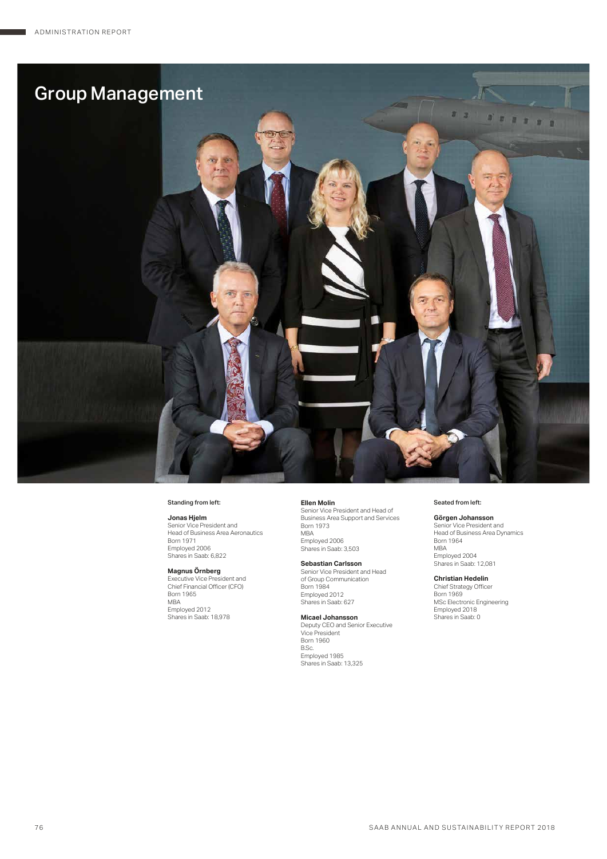

#### Standing from left:

## **Jonas Hjelm**

Senior Vice President and Head of Business Area Aeronautics Born 1971 Employed 2006 Shares in Saab: 6,822

**Magnus Ornberg**<br>Executive Vice President and<br>Chief Financial Officer (CFO) Born 1965 MBA Employed 2012 Shares in Saab: 18,978

**Ellen Molin** Senior Vice President and Head of Business Area Support and Services Born 1973 MBA Employed 2006 Shares in Saab: 3,503

**Sebastian Carlsson** Senior Vice President and Head of Group Communication Born 1984 Employed 2012 Shares in Saab: 627

#### **Micael Johansson** Deputy CEO and Senior Executive Vice President Born 1960 B.Sc. Employed 1985 Shares in Saab: 13,325

#### Seated from left:

## **Görgen Johansson**

Senior Vice President and Head of Business Area Dynamics Born 1964 MBA Employed 2004 Shares in Saab: 12,081

## **Christian Hedelin**

Chief Strategy Officer Born 1969 MSc Electronic Engineering Employed 2018 Shares in Saab: 0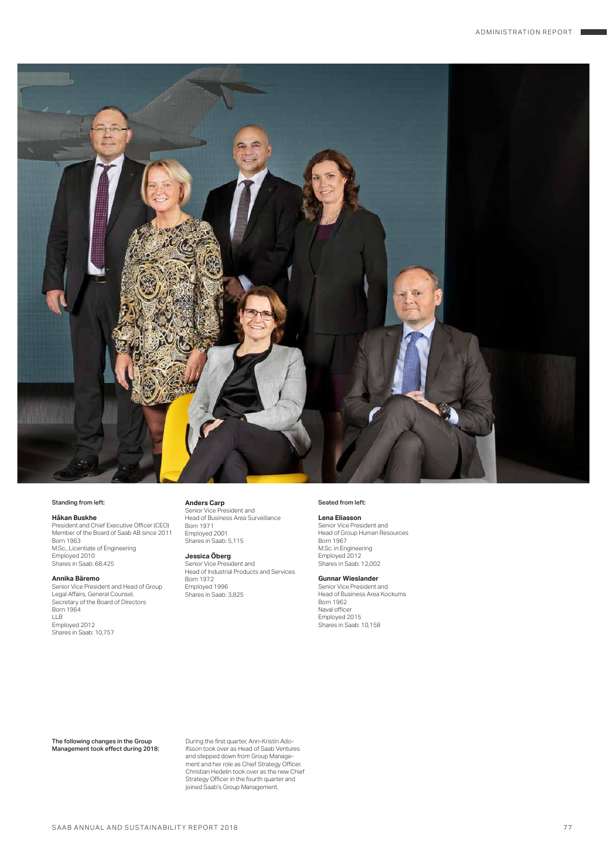

#### Standing from left:

**Håkan Buskhe** President and Chief Executive Officer (CEO) Member of the Board of Saab AB since 2011 Born 1963 M.Sc., Licentiate of Engineering

#### **Annika Bäremo**

Employed 2010 Shares in Saab: 68,425

Senior Vice President and Head of Group Legal Affairs, General Counsel, Secretary of the Board of Directors Born 1964 LLB Employed 2012 Shares in Saab: 10,757

**Anders Carp** Senior Vice President and Head of Business Area Surveillance<br>Rorn 1971 Born 1971 Employed 2001 Shares in Saab: 5,115

## **Jessica Öberg**

Senior Vice President and Head of Industrial Products and Services Born 1972 Employed 1996 Shares in Saab: 3,825

#### Seated from left:

**Lena Eliasson**

Senior Vice President and Head of Group Human Resources Born 1967 M.Sc. in Engineering Employed 2012 Shares in Saab: 12,002

## **Gunnar Wieslander**

Senior Vice President and Head of Business Area Kockums Born 1962 Naval officer Employed 2015 Shares in Saab: 10,158

The following changes in the Group Management took effect during 2018: During the first quarter, Ann-Kristin Adolfsson took over as Head of Saab Ventures and stepped down from Group Management and her role as Chief Strategy Officer. Christian Hedelin took over as the new Chief Strategy Officer in the fourth quarter and joined Saab's Group Management.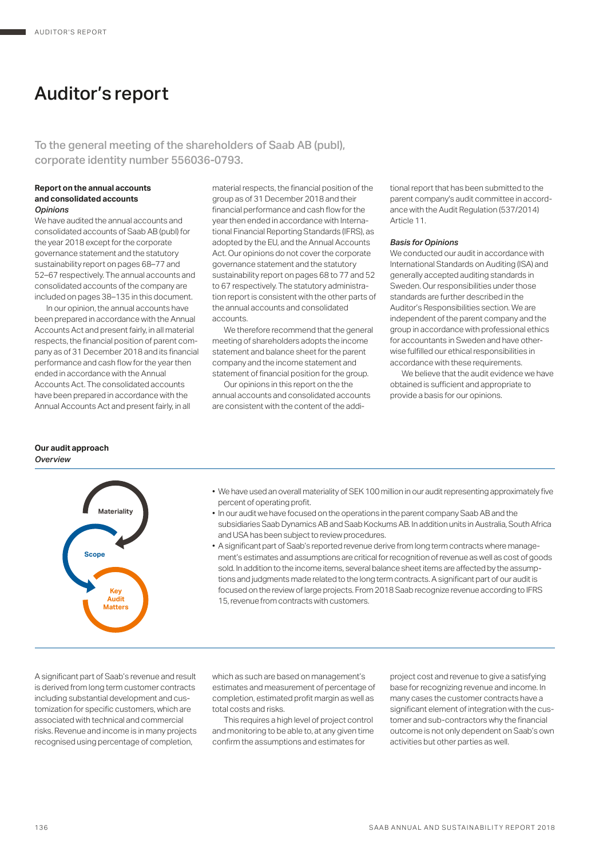# Auditor's report

To the general meeting of the shareholders of Saab AB (publ), corporate identity number 556036-0793.

### **Report on the annual accounts and consolidated accounts** *Opinions*

We have audited the annual accounts and consolidated accounts of Saab AB (publ) for the year 2018 except for the corporate governance statement and the statutory sustainability report on pages 68–77 and 52–67 respectively. The annual accounts and consolidated accounts of the company are included on pages 38–135 in this document.

In our opinion, the annual accounts have been prepared in accordance with the Annual Accounts Act and present fairly, in all material respects, the financial position of parent company as of 31 December 2018 and its financial performance and cash flow for the year then ended in accordance with the Annual Accounts Act. The consolidated accounts have been prepared in accordance with the Annual Accounts Act and present fairly, in all

## **Our audit approach** *Overview*



material respects, the financial position of the group as of 31 December 2018 and their financial performance and cash flow for the year then ended in accordance with International Financial Reporting Standards (IFRS), as adopted by the EU, and the Annual Accounts Act. Our opinions do not cover the corporate governance statement and the statutory sustainability report on pages 68 to 77 and 52 to 67 respectively. The statutory administration report is consistent with the other parts of the annual accounts and consolidated accounts.

We therefore recommend that the general meeting of shareholders adopts the income statement and balance sheet for the parent company and the income statement and statement of financial position for the group.

Our opinions in this report on the the annual accounts and consolidated accounts are consistent with the content of the additional report that has been submitted to the parent company's audit committee in accordance with the Audit Regulation (537/2014) Article 11.

## *Basis for Opinions*

We conducted our audit in accordance with International Standards on Auditing (ISA) and generally accepted auditing standards in Sweden. Our responsibilities under those standards are further described in the Auditor's Responsibilities section. We are independent of the parent company and the group in accordance with professional ethics for accountants in Sweden and have otherwise fulfilled our ethical responsibilities in accordance with these requirements.

We believe that the audit evidence we have obtained is sufficient and appropriate to provide a basis for our opinions.

- We have used an overall materiality of SEK 100 million in our audit representing approximately five percent of operating profit.
- In our audit we have focused on the operations in the parent company Saab AB and the subsidiaries Saab Dynamics AB and Saab Kockums AB. In addition units in Australia, South Africa and USA has been subject to review procedures.
- A significant part of Saab's reported revenue derive from long term contracts where management's estimates and assumptions are critical for recognition of revenue as well as cost of goods sold. In addition to the income items, several balance sheet items are affected by the assumptions and judgments made related to the long term contracts. A significant part of our audit is focused on the review of large projects. From 2018 Saab recognize revenue according to IFRS 15, revenue from contracts with customers.

A significant part of Saab's revenue and result is derived from long term customer contracts including substantial development and customization for specific customers, which are associated with technical and commercial risks. Revenue and income is in many projects recognised using percentage of completion,

which as such are based on management's estimates and measurement of percentage of completion, estimated profit margin as well as total costs and risks.

This requires a high level of project control and monitoring to be able to, at any given time confirm the assumptions and estimates for

project cost and revenue to give a satisfying base for recognizing revenue and income. In many cases the customer contracts have a significant element of integration with the customer and sub-contractors why the financial outcome is not only dependent on Saab's own activities but other parties as well.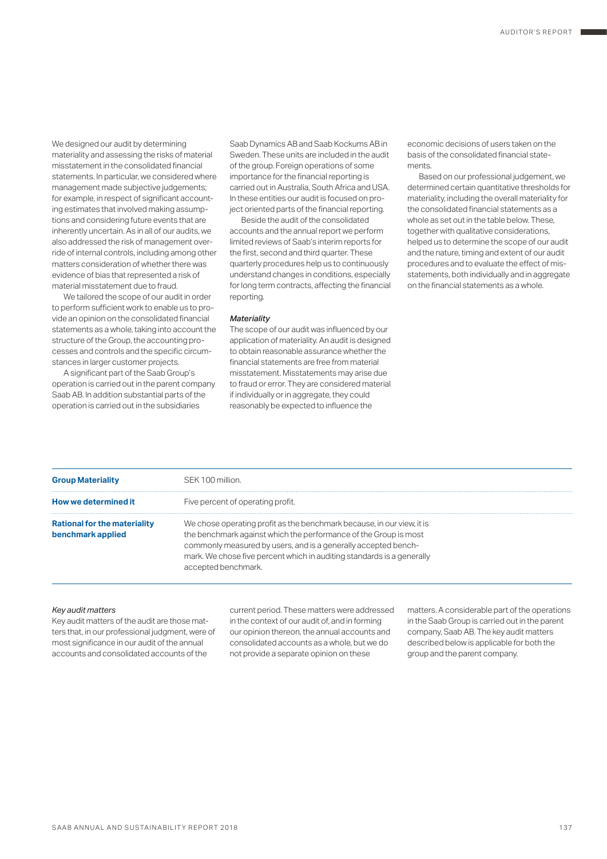We designed our audit by determining materiality and assessing the risks of material misstatement in the consolidated financial statements. In particular, we considered where management made subjective judgements; for example, in respect of significant accounting estimates that involved making assumptions and considering future events that are inherently uncertain. As in all of our audits, we also addressed the risk of management override of internal controls, including among other matters consideration of whether there was evidence of bias that represented a risk of material misstatement due to fraud.

We tailored the scope of our audit in order to perform sufficient work to enable us to provide an opinion on the consolidated financial statements as a whole, taking into account the structure of the Group, the accounting processes and controls and the specific circumstances in larger customer projects.

A significant part of the Saab Group's operation is carried out in the parent company Saab AB. In addition substantial parts of the operation is carried out in the subsidiaries

Saab Dynamics AB and Saab Kockums AB in Sweden. These units are included in the audit of the group. Foreign operations of some importance for the financial reporting is carried out in Australia, South Africa and USA. In these entities our audit is focused on project oriented parts of the financial reporting.

Beside the audit of the consolidated accounts and the annual report we perform limited reviews of Saab's interim reports for the first, second and third quarter. These quarterly procedures help us to continuously understand changes in conditions, especially for long term contracts, affecting the financial reporting.

### *Materiality*

The scope of our audit was influenced by our application of materiality. An audit is designed to obtain reasonable assurance whether the financial statements are free from material misstatement. Misstatements may arise due to fraud or error. They are considered material if individually or in aggregate, they could reasonably be expected to influence the

economic decisions of users taken on the basis of the consolidated financial statements.

Based on our professional judgement, we determined certain quantitative thresholds for materiality, including the overall materiality for the consolidated financial statements as a whole as set out in the table below. These, together with qualitative considerations, helped us to determine the scope of our audit and the nature, timing and extent of our audit procedures and to evaluate the effect of misstatements, both individually and in aggregate on the financial statements as a whole.

| <b>Group Materiality</b>                                 | SEK 100 million.                                                                                                                                                                                                                                                                                              |
|----------------------------------------------------------|---------------------------------------------------------------------------------------------------------------------------------------------------------------------------------------------------------------------------------------------------------------------------------------------------------------|
| How we determined it                                     | Five percent of operating profit.                                                                                                                                                                                                                                                                             |
| <b>Rational for the materiality</b><br>benchmark applied | We chose operating profit as the benchmark because, in our view, it is<br>the benchmark against which the performance of the Group is most<br>commonly measured by users, and is a generally accepted bench-<br>mark. We chose five percent which in auditing standards is a generally<br>accepted benchmark. |

#### *Key audit matters*

Key audit matters of the audit are those matters that, in our professional judgment, were of most significance in our audit of the annual accounts and consolidated accounts of the

current period. These matters were addressed in the context of our audit of, and in forming our opinion thereon, the annual accounts and consolidated accounts as a whole, but we do not provide a separate opinion on these

matters. A considerable part of the operations in the Saab Group is carried out in the parent company, Saab AB. The key audit matters described below is applicable for both the group and the parent company.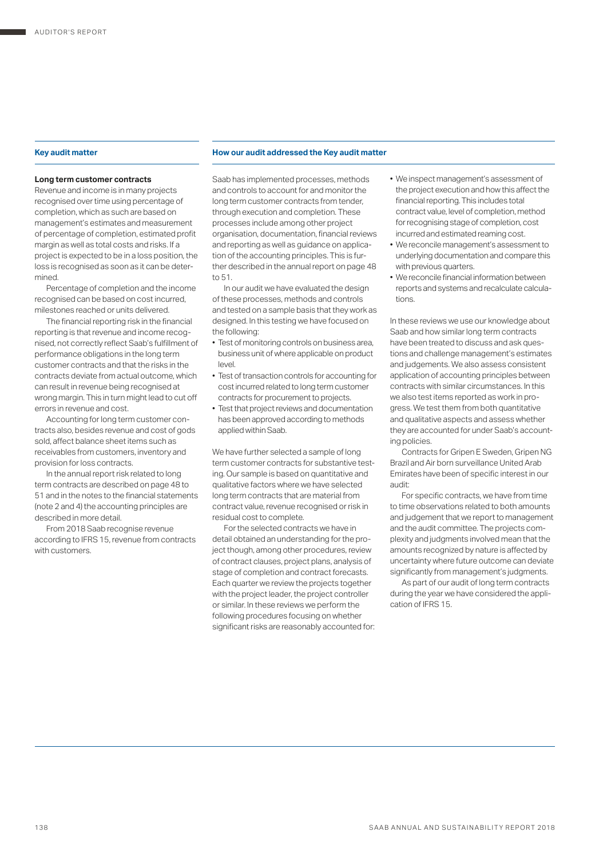### **Long term customer contracts**

Revenue and income is in many projects recognised over time using percentage of completion, which as such are based on management's estimates and measurement of percentage of completion, estimated profit margin as well as total costs and risks. If a project is expected to be in a loss position, the loss is recognised as soon as it can be determined.

Percentage of completion and the income recognised can be based on cost incurred, milestones reached or units delivered.

The financial reporting risk in the financial reporting is that revenue and income recognised, not correctly reflect Saab's fulfillment of performance obligations in the long term customer contracts and that the risks in the contracts deviate from actual outcome, which can result in revenue being recognised at wrong margin. This in turn might lead to cut off errors in revenue and cost.

Accounting for long term customer contracts also, besides revenue and cost of gods sold, affect balance sheet items such as receivables from customers, inventory and provision for loss contracts.

In the annual report risk related to long term contracts are described on page 48 to 51 and in the notes to the financial statements (note 2 and 4) the accounting principles are described in more detail.

From 2018 Saab recognise revenue according to IFRS 15, revenue from contracts with customers.

## **Key audit matter How our audit addressed the Key audit matter**

Saab has implemented processes, methods and controls to account for and monitor the long term customer contracts from tender, through execution and completion. These processes include among other project organisation, documentation, financial reviews and reporting as well as guidance on application of the accounting principles. This is further described in the annual report on page 48 to 51.

In our audit we have evaluated the design of these processes, methods and controls and tested on a sample basis that they work as designed. In this testing we have focused on the following:

- Test of monitoring controls on business area, business unit of where applicable on product level.
- Test of transaction controls for accounting for cost incurred related to long term customer contracts for procurement to projects.
- Test that project reviews and documentation has been approved according to methods applied within Saab.

We have further selected a sample of long term customer contracts for substantive testing. Our sample is based on quantitative and qualitative factors where we have selected long term contracts that are material from contract value, revenue recognised or risk in residual cost to complete.

For the selected contracts we have in detail obtained an understanding for the project though, among other procedures, review of contract clauses, project plans, analysis of stage of completion and contract forecasts. Each quarter we review the projects together with the project leader, the project controller or similar. In these reviews we perform the following procedures focusing on whether significant risks are reasonably accounted for:

- We inspect management's assessment of the project execution and how this affect the financial reporting. This includes total contract value, level of completion, method for recognising stage of completion, cost incurred and estimated reaming cost.
- We reconcile management's assessment to underlying documentation and compare this with previous quarters.
- We reconcile financial information between reports and systems and recalculate calculations.

In these reviews we use our knowledge about Saab and how similar long term contracts have been treated to discuss and ask questions and challenge management's estimates and judgements. We also assess consistent application of accounting principles between contracts with similar circumstances. In this we also test items reported as work in progress. We test them from both quantitative and qualitative aspects and assess whether they are accounted for under Saab's accounting policies.

Contracts for Gripen E Sweden, Gripen NG Brazil and Air born surveillance United Arab Emirates have been of specific interest in our audit:

For specific contracts, we have from time to time observations related to both amounts and judgement that we report to management and the audit committee. The projects complexity and judgments involved mean that the amounts recognized by nature is affected by uncertainty where future outcome can deviate significantly from management's judgments.

As part of our audit of long term contracts during the year we have considered the application of IFRS 15.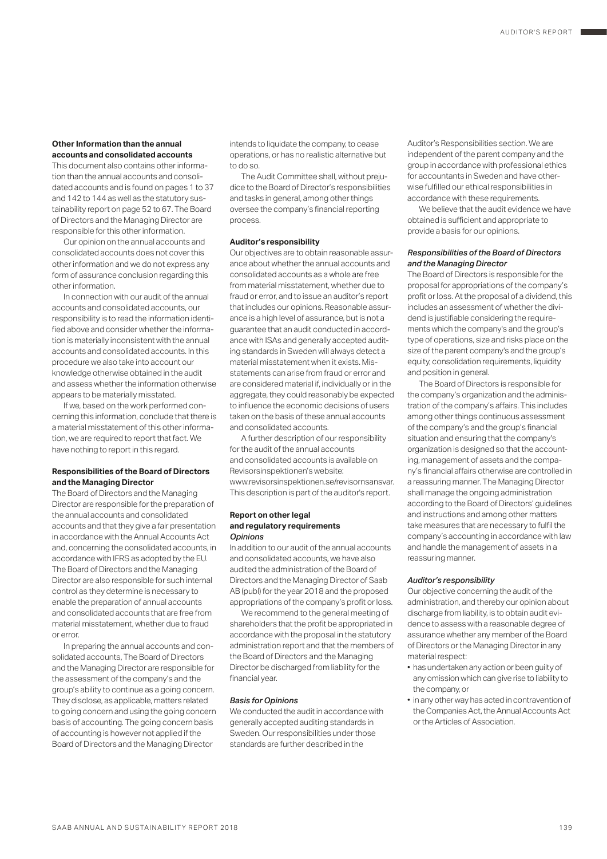#### **Other Information than the annual accounts and consolidated accounts**

This document also contains other information than the annual accounts and consolidated accounts and is found on pages 1 to 37 and 142 to 144 as well as the statutory sustainability report on page 52 to 67. The Board of Directors and the Managing Director are responsible for this other information.

Our opinion on the annual accounts and consolidated accounts does not cover this other information and we do not express any form of assurance conclusion regarding this other information.

In connection with our audit of the annual accounts and consolidated accounts, our responsibility is to read the information identified above and consider whether the information is materially inconsistent with the annual accounts and consolidated accounts. In this procedure we also take into account our knowledge otherwise obtained in the audit and assess whether the information otherwise appears to be materially misstated.

If we, based on the work performed concerning this information, conclude that there is a material misstatement of this other information, we are required to report that fact. We have nothing to report in this regard.

## **Responsibilities of the Board of Directors and the Managing Director**

The Board of Directors and the Managing Director are responsible for the preparation of the annual accounts and consolidated accounts and that they give a fair presentation in accordance with the Annual Accounts Act and, concerning the consolidated accounts, in accordance with IFRS as adopted by the EU. The Board of Directors and the Managing Director are also responsible for such internal control as they determine is necessary to enable the preparation of annual accounts and consolidated accounts that are free from material misstatement, whether due to fraud or error.

In preparing the annual accounts and consolidated accounts, The Board of Directors and the Managing Director are responsible for the assessment of the company's and the group's ability to continue as a going concern. They disclose, as applicable, matters related to going concern and using the going concern basis of accounting. The going concern basis of accounting is however not applied if the Board of Directors and the Managing Director

intends to liquidate the company, to cease operations, or has no realistic alternative but to do so.

The Audit Committee shall, without prejudice to the Board of Director's responsibilities and tasks in general, among other things oversee the company's financial reporting process.

## **Auditor's responsibility**

Our objectives are to obtain reasonable assurance about whether the annual accounts and consolidated accounts as a whole are free from material misstatement, whether due to fraud or error, and to issue an auditor's report that includes our opinions. Reasonable assurance is a high level of assurance, but is not a guarantee that an audit conducted in accordance with ISAs and generally accepted auditing standards in Sweden will always detect a material misstatement when it exists. Misstatements can arise from fraud or error and are considered material if, individually or in the aggregate, they could reasonably be expected to influence the economic decisions of users taken on the basis of these annual accounts and consolidated accounts.

A further description of our responsibility for the audit of the annual accounts and consolidated accounts is available on Revisorsinspektionen's website: www.revisorsinspektionen.se/revisornsansvar. This description is part of the auditor's report.

### **Report on other legal and regulatory requirements** *Opinions*

In addition to our audit of the annual accounts and consolidated accounts, we have also audited the administration of the Board of Directors and the Managing Director of Saab AB (publ) for the year 2018 and the proposed appropriations of the company's profit or loss.

We recommend to the general meeting of shareholders that the profit be appropriated in accordance with the proposal in the statutory administration report and that the members of the Board of Directors and the Managing Director be discharged from liability for the financial year.

## *Basis for Opinions*

We conducted the audit in accordance with generally accepted auditing standards in Sweden. Our responsibilities under those standards are further described in the

Auditor's Responsibilities section. We are independent of the parent company and the group in accordance with professional ethics for accountants in Sweden and have otherwise fulfilled our ethical responsibilities in accordance with these requirements.

We believe that the audit evidence we have obtained is sufficient and appropriate to provide a basis for our opinions.

## *Responsibilities of the Board of Directors and the Managing Director*

The Board of Directors is responsible for the proposal for appropriations of the company's profit or loss. At the proposal of a dividend, this includes an assessment of whether the dividend is justifiable considering the requirements which the company's and the group's type of operations, size and risks place on the size of the parent company's and the group's equity, consolidation requirements, liquidity and position in general.

The Board of Directors is responsible for the company's organization and the administration of the company's affairs. This includes among other things continuous assessment of the company's and the group's financial situation and ensuring that the company's organization is designed so that the accounting, management of assets and the company's financial affairs otherwise are controlled in a reassuring manner. The Managing Director shall manage the ongoing administration according to the Board of Directors' guidelines and instructions and among other matters take measures that are necessary to fulfil the company's accounting in accordance with law and handle the management of assets in a reassuring manner.

#### *Auditor's responsibility*

Our objective concerning the audit of the administration, and thereby our opinion about discharge from liability, is to obtain audit evidence to assess with a reasonable degree of assurance whether any member of the Board of Directors or the Managing Director in any material respect:

- has undertaken any action or been guilty of any omission which can give rise to liability to the company, or
- in any other way has acted in contravention of the Companies Act, the Annual Accounts Act or the Articles of Association.